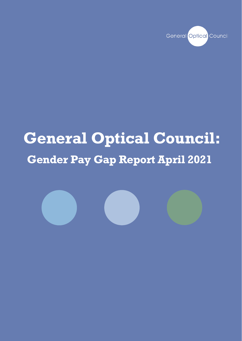

# **General Optical Council: Gender Pay Gap Report April 2021**

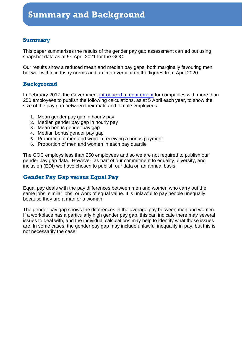#### **Summary**

This paper summarises the results of the gender pay gap assessment carried out using snapshot data as at 5<sup>th</sup> April 2021 for the GOC.

Our results show a reduced mean and median pay gaps, both marginally favouring men but well within industry norms and an improvement on the figures from April 2020.

#### **Background**

In February 2017, the Government [introduced a requirement](https://www.gov.uk/guidance/gender-pay-gap-reporting-overview) for companies with more than 250 employees to publish the following calculations, as at 5 April each year, to show the size of the pay gap between their male and female employees:

- 1. Mean gender pay gap in hourly pay
- 2. Median gender pay gap in hourly pay
- 3. Mean bonus gender pay gap
- 4. Median bonus gender pay gap
- 5. Proportion of men and women receiving a bonus payment
- 6. Proportion of men and women in each pay quartile

The GOC employs less than 250 employees and so we are not required to publish our gender pay gap data. However, as part of our commitment to equality, diversity, and inclusion (EDI) we have chosen to publish our data on an annual basis.

#### **Gender Pay Gap versus Equal Pay**

Equal pay deals with the pay differences between men and women who carry out the same jobs, similar jobs, or work of equal value. It is unlawful to pay people unequally because they are a man or a woman.

The gender pay gap shows the differences in the average pay between men and women. If a workplace has a particularly high gender pay gap, this can indicate there may several issues to deal with, and the individual calculations may help to identify what those issues are. In some cases, the gender pay gap may include unlawful inequality in pay, but this is not necessarily the case.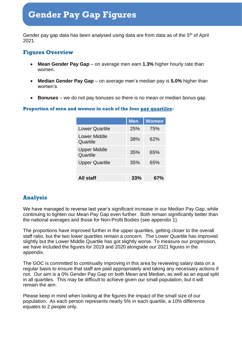## **Gender Pay Gap Figures**

Gender pay gap data has been analysed using data are from data as of the  $5<sup>th</sup>$  of April 2021.

#### **Figures Overview**

- **Mean Gender Pay Gap** on average men earn **1.3%** higher hourly rate than women.
- **Median Gender Pay Gap** on average men's median pay is **5.0%** higher than women's.
- **Bonuses** we do not pay bonuses so there is no mean or median bonus gap.

#### **Proportion of men and women in each of the four [pay quartiles:](https://www.gov.uk/guidance/gender-pay-gap-reporting-make-your-calculations#gender-pay-gap-quartile-figures-you-must-calculate)**

|                                 | <b>Men</b> | <b>Women</b> |
|---------------------------------|------------|--------------|
| <b>Lower Quartile</b>           | 25%        | 75%          |
| Lower Middle<br>Quartile        | 38%        | 62%          |
| <b>Upper Middle</b><br>Quartile | 35%        | 65%          |
| <b>Upper Quartile</b>           | 35%        | 65%          |
|                                 |            |              |
| All staff                       | 33%        | 67%          |

#### **Analysis**

We have managed to reverse last year's significant increase in our Median Pay Gap, while continuing to tighten our Mean Pay Gap even further. Both remain significantly better than the national averages and those for Non-Profit Bodies (see appendix 1).

The proportions have improved further in the upper quartiles, getting closer to the overall staff ratio, but the two lower quartiles remain a concern. The Lower Quartile has improved slightly but the Lower Middle Quartile has got slightly worse. To measure our progression, we have included the figures for 2019 and 2020 alongside our 2021 figures in the appendix.

The GOC is committed to continually improving in this area by reviewing salary data on a regular basis to ensure that staff are paid appropriately and taking any necessary actions if not. Our aim is a 0% Gender Pay Gap on both Mean and Median, as well as an equal split in all quartiles. This may be difficult to achieve given our small population, but it will remain the aim.

Please keep in mind when looking at the figures the impact of the small size of our population. As each person represents nearly 5% in each quartile, a 10% difference equates to 2 people only.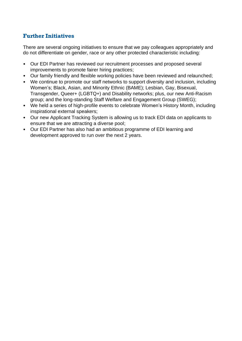#### **Further Initiatives**

There are several ongoing initiatives to ensure that we pay colleagues appropriately and do not differentiate on gender, race or any other protected characteristic including:

- Our EDI Partner has reviewed our recruitment processes and proposed several improvements to promote fairer hiring practices;
- Our family friendly and flexible working policies have been reviewed and relaunched;
- We continue to promote our staff networks to support diversity and inclusion, including Women's; Black, Asian, and Minority Ethnic (BAME); Lesbian, Gay, Bisexual, Transgender, Queer+ (LGBTQ+) and Disability networks; plus, our new Anti-Racism group; and the long-standing Staff Welfare and Engagement Group (SWEG);
- We held a series of high-profile events to celebrate Women's History Month, including inspirational external speakers;
- Our new Applicant Tracking System is allowing us to track EDI data on applicants to ensure that we are attracting a diverse pool;
- Our EDI Partner has also had an ambitious programme of EDI learning and development approved to run over the next 2 years.